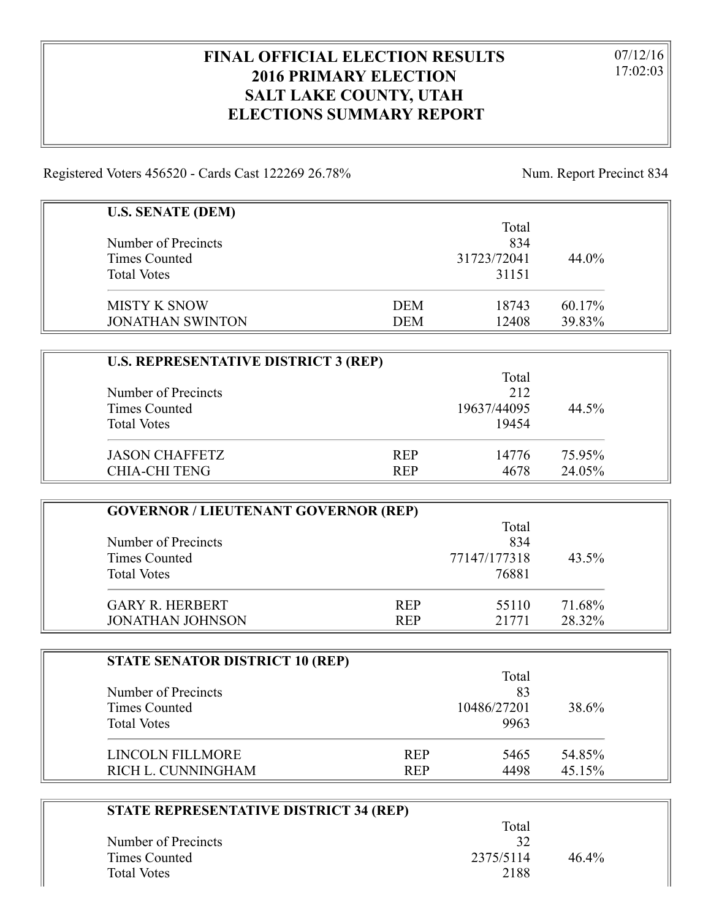## **FINAL OFFICIAL ELECTION RESULTS 2016 PRIMARY ELECTION SALT LAKE COUNTY, UTAH ELECTIONS SUMMARY REPORT**

07/12/16 17:02:03

Registered Voters 456520 - Cards Cast 122269 26.78% Num. Report Precinct 834

| <b>U.S. SENATE (DEM)</b>             | Total               |        |
|--------------------------------------|---------------------|--------|
| Number of Precincts<br>Times Counted | 834<br>31723/72041  | 44.0%  |
| <b>Total Votes</b>                   | 31151               |        |
| <b>MISTY K SNOW</b>                  | <b>DEM</b><br>18743 | 60.17% |
| <b>JONATHAN SWINTON</b>              | 12408<br><b>DEM</b> | 39.83% |

| <b>U.S. REPRESENTATIVE DISTRICT 3 (REP)</b> |            |             |        |
|---------------------------------------------|------------|-------------|--------|
|                                             | Total      |             |        |
| Number of Precincts                         |            | 212         |        |
| Times Counted                               |            | 19637/44095 | 44.5%  |
| <b>Total Votes</b>                          |            | 19454       |        |
| <b>JASON CHAFFETZ</b>                       | <b>REP</b> | 14776       | 75.95% |
| <b>CHIA-CHI TENG</b>                        | <b>REP</b> | 4678        | 24.05% |

| <b>GOVERNOR / LIEUTENANT GOVERNOR (REP)</b> |            |              |        |
|---------------------------------------------|------------|--------------|--------|
|                                             |            | Total        |        |
| Number of Precincts                         |            | 834          |        |
| Times Counted                               |            | 77147/177318 | 43.5%  |
| <b>Total Votes</b>                          |            | 76881        |        |
| <b>GARY R. HERBERT</b>                      | <b>REP</b> | 55110        | 71.68% |
| <b>JONATHAN JOHNSON</b>                     | <b>REP</b> | 21771        | 28.32% |

| <b>STATE SENATOR DISTRICT 10 (REP)</b> |            |             |        |
|----------------------------------------|------------|-------------|--------|
|                                        |            | Total       |        |
| Number of Precincts                    |            | 83          |        |
| Times Counted                          |            | 10486/27201 | 38.6%  |
| <b>Total Votes</b>                     |            | 9963        |        |
| LINCOLN FILLMORE                       | <b>REP</b> | 5465        | 54.85% |
| RICH L. CUNNINGHAM                     | <b>REP</b> | 4498        | 45.15% |

| STATE REPRESENTATIVE DISTRICT 34 (REP) |           |          |  |
|----------------------------------------|-----------|----------|--|
|                                        | Total     |          |  |
| Number of Precincts                    | 32        |          |  |
| Times Counted                          | 2375/5114 | $46.4\%$ |  |
| <b>Total Votes</b>                     | 2188      |          |  |
|                                        |           |          |  |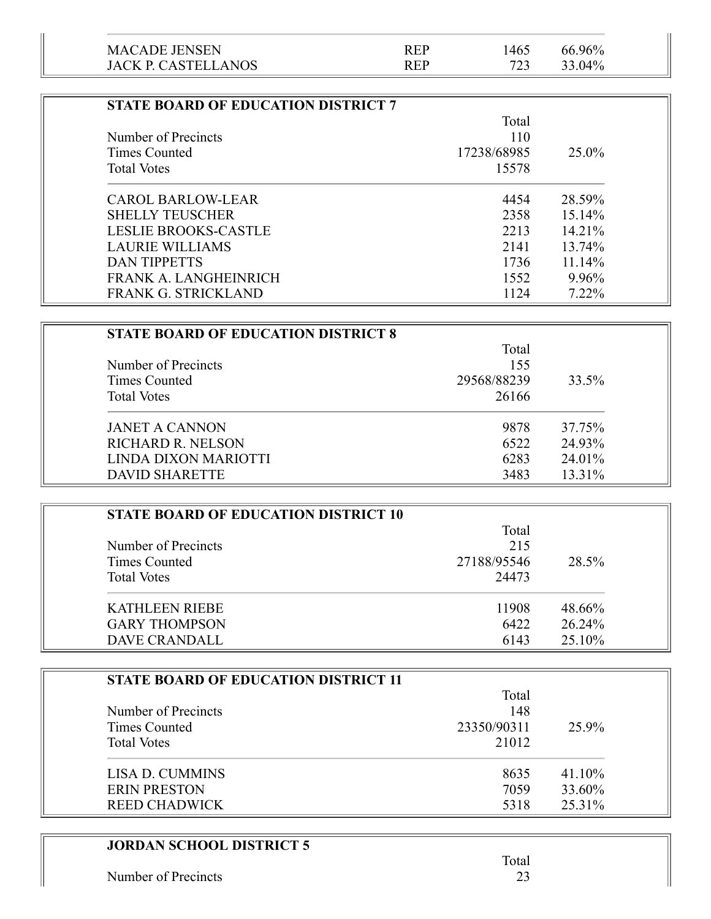| <b>JACK P. CASTELLANOS</b> | <b>REP</b> |      | 33.04% |  |
|----------------------------|------------|------|--------|--|
| <b>MACADE JENSEN</b>       | <b>REP</b> | !465 | 66.96% |  |

| <b>STATE BOARD OF EDUCATION DISTRICT 7</b> |             |           |
|--------------------------------------------|-------------|-----------|
|                                            | Total       |           |
| Number of Precincts                        | 110         |           |
| Times Counted                              | 17238/68985 | 25.0%     |
| <b>Total Votes</b>                         | 15578       |           |
| <b>CAROL BARLOW-LEAR</b>                   | 4454        | 28.59%    |
| <b>SHELLY TEUSCHER</b>                     | 2358        | $15.14\%$ |
| <b>LESLIE BROOKS-CASTLE</b>                | 2213        | $14.21\%$ |
| LAURIE WILLIAMS                            | 2141        | 13.74%    |
| DAN TIPPETTS                               | 1736        | $11.14\%$ |
| FRANK A. LANGHEINRICH                      | 1552        | 9.96%     |
| <b>FRANK G. STRICKLAND</b>                 | 1124        | $7.22\%$  |

| <b>STATE BOARD OF EDUCATION DISTRICT 8</b> |             |        |
|--------------------------------------------|-------------|--------|
|                                            | Total       |        |
| Number of Precincts                        | 155         |        |
| Times Counted                              | 29568/88239 | 33.5%  |
| <b>Total Votes</b>                         | 26166       |        |
| <b>JANET A CANNON</b>                      | 9878        | 37.75% |
| <b>RICHARD R. NELSON</b>                   | 6522        | 24.93% |
| LINDA DIXON MARIOTTI                       | 6283        | 24.01% |
| <b>DAVID SHARETTE</b>                      | 3483        | 13.31% |

| <b>STATE BOARD OF EDUCATION DISTRICT 10</b> |             |        |
|---------------------------------------------|-------------|--------|
|                                             | Total       |        |
| Number of Precincts                         | 215         |        |
| Times Counted                               | 27188/95546 | 28.5%  |
| <b>Total Votes</b>                          | 24473       |        |
| <b>KATHLEEN RIEBE</b>                       | 11908       | 48.66% |
| <b>GARY THOMPSON</b>                        | 6422        | 26.24% |
| <b>DAVE CRANDALL</b>                        | 6143        | 25.10% |

| <b>STATE BOARD OF EDUCATION DISTRICT 11</b> |             |        |
|---------------------------------------------|-------------|--------|
|                                             | Total       |        |
| Number of Precincts                         | 148         |        |
| Times Counted                               | 23350/90311 | 25.9%  |
| <b>Total Votes</b>                          | 21012       |        |
| LISA D. CUMMINS                             | 8635        | 41.10% |
| <b>ERIN PRESTON</b>                         | 7059        | 33.60% |
| <b>REED CHADWICK</b>                        | 5318        | 25.31% |

## **JORDAN SCHOOL DISTRICT 5**

L,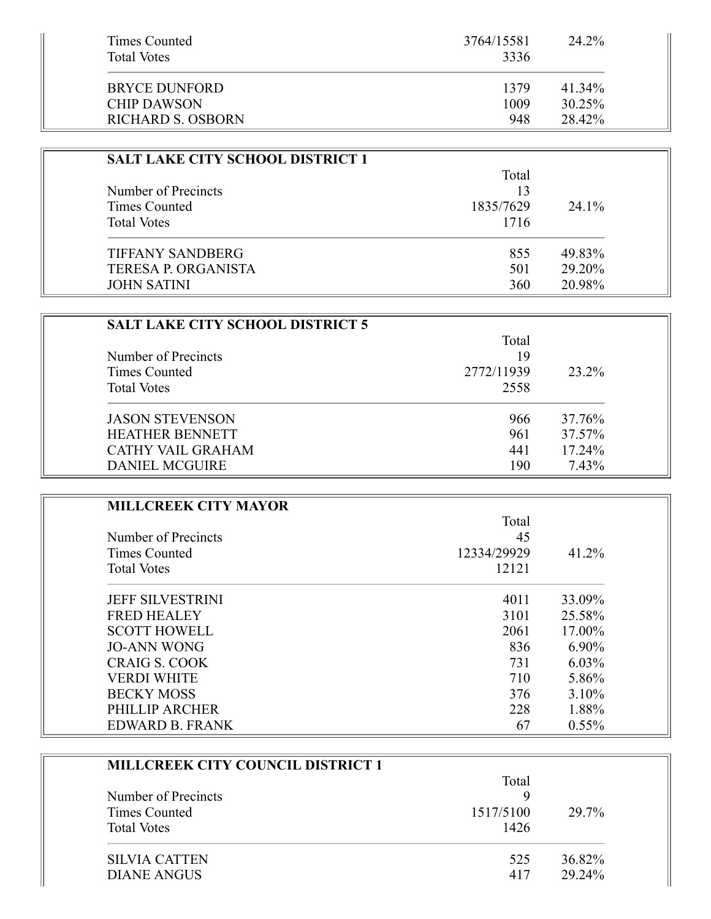| Times Counted<br><b>Total Votes</b> | 3764/15581<br>3336 | 24.2%     |
|-------------------------------------|--------------------|-----------|
| <b>BRYCE DUNFORD</b>                | 1379               | 41.34%    |
| <b>CHIP DAWSON</b>                  | 1009               | $30.25\%$ |
| RICHARD S. OSBORN                   | 948                | 28.42%    |

| <b>SALT LAKE CITY SCHOOL DISTRICT 1</b> |           |          |
|-----------------------------------------|-----------|----------|
|                                         | Total     |          |
| Number of Precincts                     | 13        |          |
| Times Counted                           | 1835/7629 | $24.1\%$ |
| <b>Total Votes</b>                      | 1716      |          |
| <b>TIFFANY SANDBERG</b>                 | 855       | 49.83%   |
| <b>TERESA P. ORGANISTA</b>              | 501       | 29.20%   |
| <b>JOHN SATINI</b>                      | 360       | 20.98%   |

| <b>SALT LAKE CITY SCHOOL DISTRICT 5</b> |            |        |
|-----------------------------------------|------------|--------|
|                                         | Total      |        |
| Number of Precincts                     | 19         |        |
| Times Counted                           | 2772/11939 | 23.2%  |
| <b>Total Votes</b>                      | 2558       |        |
| <b>JASON STEVENSON</b>                  | 966        | 37.76% |
| <b>HEATHER BENNETT</b>                  | 961        | 37.57% |
| <b>CATHY VAIL GRAHAM</b>                | 441        | 17.24% |
| <b>DANIEL MCGUIRE</b>                   | 190        | 7.43%  |

| <b>MILLCREEK CITY MAYOR</b> |             |          |
|-----------------------------|-------------|----------|
|                             | Total       |          |
| Number of Precincts         | 45          |          |
| Times Counted               | 12334/29929 | 41.2%    |
| <b>Total Votes</b>          | 12121       |          |
| <b>JEFF SILVESTRINI</b>     | 4011        | 33.09%   |
| <b>FRED HEALEY</b>          | 3101        | 25.58%   |
| <b>SCOTT HOWELL</b>         | 2061        | 17.00%   |
| <b>JO-ANN WONG</b>          | 836         | 6.90%    |
| CRAIG S. COOK               | 731         | $6.03\%$ |
| <b>VERDI WHITE</b>          | 710         | 5.86%    |
| <b>BECKY MOSS</b>           | 376         | 3.10%    |
| PHILLIP ARCHER              | 228         | 1.88%    |
| EDWARD B. FRANK             | 67          | $0.55\%$ |

| <b>MILLCREEK CITY COUNCIL DISTRICT 1</b> |           |        |
|------------------------------------------|-----------|--------|
|                                          | Total     |        |
| Number of Precincts                      | q         |        |
| Times Counted                            | 1517/5100 | 29.7%  |
| <b>Total Votes</b>                       | 1426      |        |
| <b>SILVIA CATTEN</b>                     | 525       | 36.82% |
| DIANE ANGUS                              | 417       | 29.24% |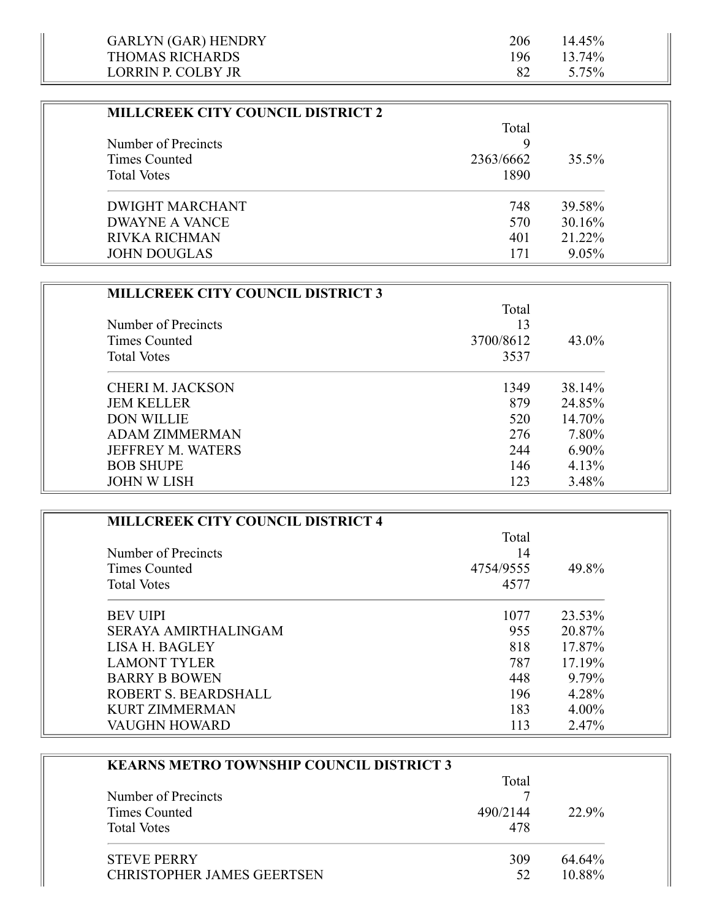| <b>GARLYN (GAR) HENDRY</b> | 206 | $14.45\%$ |  |
|----------------------------|-----|-----------|--|
| THOMAS RICHARDS            | 196 | 13.74%    |  |
| LORRIN P. COLBY JR         |     | 5.75%     |  |

| <b>MILLCREEK CITY COUNCIL DISTRICT 2</b> |           |          |
|------------------------------------------|-----------|----------|
|                                          | Total     |          |
| Number of Precincts                      | Q         |          |
| Times Counted                            | 2363/6662 | 35.5%    |
| <b>Total Votes</b>                       | 1890      |          |
| <b>DWIGHT MARCHANT</b>                   | 748       | 39.58%   |
| DWAYNE A VANCE                           | 570       | 30.16%   |
| <b>RIVKA RICHMAN</b>                     | 401       | 21.22%   |
| <b>JOHN DOUGLAS</b>                      | 171       | $9.05\%$ |

| <b>MILLCREEK CITY COUNCIL DISTRICT 3</b> |           |          |
|------------------------------------------|-----------|----------|
|                                          | Total     |          |
| Number of Precincts                      | 13        |          |
| Times Counted                            | 3700/8612 | 43.0%    |
| <b>Total Votes</b>                       | 3537      |          |
| <b>CHERI M. JACKSON</b>                  | 1349      | 38.14%   |
| <b>JEM KELLER</b>                        | 879       | 24.85%   |
| <b>DON WILLIE</b>                        | 520       | 14.70%   |
| <b>ADAM ZIMMERMAN</b>                    | 276       | 7.80%    |
| <b>JEFFREY M. WATERS</b>                 | 244       | $6.90\%$ |
| <b>BOB SHUPE</b>                         | 146       | 4.13%    |
| <b>JOHN W LISH</b>                       | 123       | 3.48%    |

| <b>MILLCREEK CITY COUNCIL DISTRICT 4</b> |           |          |
|------------------------------------------|-----------|----------|
|                                          | Total     |          |
| Number of Precincts                      | 14        |          |
| Times Counted                            | 4754/9555 | 49.8%    |
| <b>Total Votes</b>                       | 4577      |          |
| <b>BEV UIPI</b>                          | 1077      | 23.53%   |
| SERAYA AMIRTHALINGAM                     | 955       | 20.87%   |
| LISA H. BAGLEY                           | 818       | 17.87%   |
| <b>LAMONT TYLER</b>                      | 787       | 17.19%   |
| <b>BARRY B BOWEN</b>                     | 448       | 9.79%    |
| ROBERT S. BEARDSHALL                     | 196       | 4.28%    |
| <b>KURT ZIMMERMAN</b>                    | 183       | $4.00\%$ |
| <b>VAUGHN HOWARD</b>                     | 113       | 2.47%    |

| <b>KEARNS METRO TOWNSHIP COUNCIL DISTRICT 3</b> |          |        |
|-------------------------------------------------|----------|--------|
|                                                 | Total    |        |
| Number of Precincts                             |          |        |
| Times Counted                                   | 490/2144 | 22.9%  |
| <b>Total Votes</b>                              | 478      |        |
| <b>STEVE PERRY</b>                              | 309      | 64.64% |
| <b>CHRISTOPHER JAMES GEERTSEN</b>               | 52       | 10.88% |